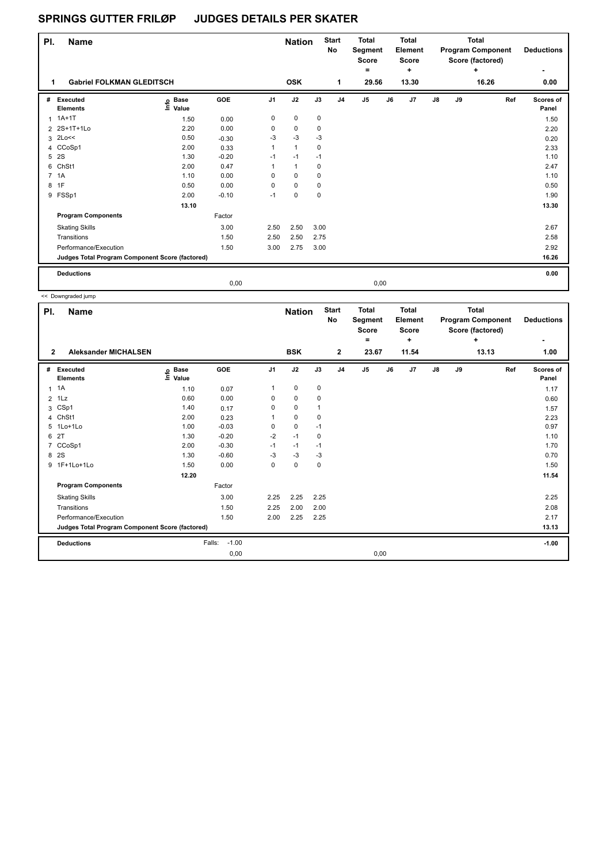## **SPRINGS GUTTER FRILØP JUDGES DETAILS PER SKATER**

| PI.                                             | <b>Name</b>                 |                            |            |                | <b>Nation</b> |             | <b>Start</b><br><b>No</b> | <b>Total</b><br>Segment<br><b>Score</b><br>۰ |       | <b>Total</b><br><b>Element</b><br><b>Score</b><br>÷ |            |       | <b>Total</b><br><b>Program Component</b><br>Score (factored)<br>+ | <b>Deductions</b>         |
|-------------------------------------------------|-----------------------------|----------------------------|------------|----------------|---------------|-------------|---------------------------|----------------------------------------------|-------|-----------------------------------------------------|------------|-------|-------------------------------------------------------------------|---------------------------|
| <b>Gabriel FOLKMAN GLEDITSCH</b><br>1           |                             |                            |            | <b>OSK</b>     |               | 1           | 29.56                     |                                              | 13.30 |                                                     |            | 16.26 | 0.00                                                              |                           |
| #                                               | Executed<br><b>Elements</b> | e Base<br>E Value<br>Value | <b>GOE</b> | J <sub>1</sub> | J2            | J3          | J <sub>4</sub>            | J <sub>5</sub>                               | J6    | J7                                                  | ${\sf J8}$ | J9    | Ref                                                               | <b>Scores of</b><br>Panel |
|                                                 | $1.1A+1T$                   | 1.50                       | 0.00       | 0              | $\mathbf 0$   | 0           |                           |                                              |       |                                                     |            |       |                                                                   | 1.50                      |
|                                                 | 2 2S+1T+1Lo                 | 2.20                       | 0.00       | 0              | $\mathbf 0$   | 0           |                           |                                              |       |                                                     |            |       |                                                                   | 2.20                      |
| 3                                               | 2Lo<<                       | 0.50                       | $-0.30$    | $-3$           | $-3$          | $-3$        |                           |                                              |       |                                                     |            |       |                                                                   | 0.20                      |
|                                                 | 4 CCoSp1                    | 2.00                       | 0.33       | 1              | $\mathbf{1}$  | 0           |                           |                                              |       |                                                     |            |       |                                                                   | 2.33                      |
| 5                                               | 2S                          | 1.30                       | $-0.20$    | $-1$           | $-1$          | $-1$        |                           |                                              |       |                                                     |            |       |                                                                   | 1.10                      |
| 6                                               | ChSt1                       | 2.00                       | 0.47       | 1              | $\mathbf{1}$  | $\mathbf 0$ |                           |                                              |       |                                                     |            |       |                                                                   | 2.47                      |
| $\overline{7}$                                  | 1A                          | 1.10                       | 0.00       | 0              | $\mathbf 0$   | $\mathbf 0$ |                           |                                              |       |                                                     |            |       |                                                                   | 1.10                      |
| 8                                               | 1F                          | 0.50                       | 0.00       | 0              | $\mathbf 0$   | $\mathbf 0$ |                           |                                              |       |                                                     |            |       |                                                                   | 0.50                      |
|                                                 | 9 FSSp1                     | 2.00                       | $-0.10$    | $-1$           | $\mathbf 0$   | $\mathbf 0$ |                           |                                              |       |                                                     |            |       |                                                                   | 1.90                      |
|                                                 |                             | 13.10                      |            |                |               |             |                           |                                              |       |                                                     |            |       |                                                                   | 13.30                     |
|                                                 | <b>Program Components</b>   |                            | Factor     |                |               |             |                           |                                              |       |                                                     |            |       |                                                                   |                           |
|                                                 | <b>Skating Skills</b>       |                            | 3.00       | 2.50           | 2.50          | 3.00        |                           |                                              |       |                                                     |            |       |                                                                   | 2.67                      |
|                                                 | Transitions                 |                            | 1.50       | 2.50           | 2.50          | 2.75        |                           |                                              |       |                                                     |            |       |                                                                   | 2.58                      |
|                                                 | Performance/Execution       |                            | 1.50       | 3.00           | 2.75          | 3.00        |                           |                                              |       |                                                     |            |       |                                                                   | 2.92                      |
| Judges Total Program Component Score (factored) |                             |                            |            |                |               |             |                           |                                              |       |                                                     |            |       | 16.26                                                             |                           |
|                                                 | <b>Deductions</b>           |                            |            |                |               |             |                           |                                              |       |                                                     |            |       |                                                                   | 0.00                      |
|                                                 |                             |                            | 0,00       |                |               |             |                           | 0,00                                         |       |                                                     |            |       |                                                                   |                           |

L << Downgraded jump

| PI.            | <b>Name</b>                                     |                                  |                   |                | <b>Nation</b> |              | <b>Start</b><br>No | <b>Total</b><br>Segment<br><b>Score</b><br>۰ |    | <b>Total</b><br>Element<br><b>Score</b><br>٠ |            |    | <b>Total</b><br><b>Program Component</b><br>Score (factored)<br>٠ | <b>Deductions</b>         |
|----------------|-------------------------------------------------|----------------------------------|-------------------|----------------|---------------|--------------|--------------------|----------------------------------------------|----|----------------------------------------------|------------|----|-------------------------------------------------------------------|---------------------------|
| $\overline{2}$ | <b>Aleksander MICHALSEN</b>                     |                                  |                   |                | <b>BSK</b>    |              | $\overline{2}$     | 23.67                                        |    | 11.54                                        |            |    | 13.13                                                             | 1.00                      |
| #              | Executed<br><b>Elements</b>                     | <b>Base</b><br>e Base<br>⊑ Value | GOE               | J <sub>1</sub> | J2            | J3           | J <sub>4</sub>     | J <sub>5</sub>                               | J6 | J7                                           | ${\sf J8}$ | J9 | Ref                                                               | <b>Scores of</b><br>Panel |
| 1              | 1A                                              | 1.10                             | 0.07              | 1              | $\mathbf 0$   | 0            |                    |                                              |    |                                              |            |    |                                                                   | 1.17                      |
| $\overline{2}$ | 1Lz                                             | 0.60                             | 0.00              | 0              | 0             | 0            |                    |                                              |    |                                              |            |    |                                                                   | 0.60                      |
| 3              | CSp1                                            | 1.40                             | 0.17              | 0              | $\mathbf 0$   | $\mathbf{1}$ |                    |                                              |    |                                              |            |    |                                                                   | 1.57                      |
| 4              | ChSt1                                           | 2.00                             | 0.23              | 1              | $\mathbf 0$   | 0            |                    |                                              |    |                                              |            |    |                                                                   | 2.23                      |
| 5              | 1Lo+1Lo                                         | 1.00                             | $-0.03$           | 0              | $\mathbf 0$   | $-1$         |                    |                                              |    |                                              |            |    |                                                                   | 0.97                      |
| 6              | 2T                                              | 1.30                             | $-0.20$           | $-2$           | $-1$          | 0            |                    |                                              |    |                                              |            |    |                                                                   | 1.10                      |
| 7              | CCoSp1                                          | 2.00                             | $-0.30$           | $-1$           | $-1$          | $-1$         |                    |                                              |    |                                              |            |    |                                                                   | 1.70                      |
| 8              | 2S                                              | 1.30                             | $-0.60$           | $-3$           | $-3$          | $-3$         |                    |                                              |    |                                              |            |    |                                                                   | 0.70                      |
|                | 9 1F+1Lo+1Lo                                    | 1.50                             | 0.00              | 0              | $\mathbf 0$   | $\mathbf 0$  |                    |                                              |    |                                              |            |    |                                                                   | 1.50                      |
|                |                                                 | 12.20                            |                   |                |               |              |                    |                                              |    |                                              |            |    |                                                                   | 11.54                     |
|                | <b>Program Components</b>                       |                                  | Factor            |                |               |              |                    |                                              |    |                                              |            |    |                                                                   |                           |
|                | <b>Skating Skills</b>                           |                                  | 3.00              | 2.25           | 2.25          | 2.25         |                    |                                              |    |                                              |            |    |                                                                   | 2.25                      |
|                | Transitions                                     |                                  | 1.50              | 2.25           | 2.00          | 2.00         |                    |                                              |    |                                              |            |    |                                                                   | 2.08                      |
|                | Performance/Execution                           |                                  | 1.50              | 2.00           | 2.25          | 2.25         |                    |                                              |    |                                              |            |    |                                                                   | 2.17                      |
|                | Judges Total Program Component Score (factored) |                                  |                   |                |               |              |                    |                                              |    |                                              |            |    |                                                                   | 13.13                     |
|                | <b>Deductions</b>                               |                                  | $-1.00$<br>Falls: |                |               |              |                    |                                              |    |                                              |            |    |                                                                   | $-1.00$                   |
|                |                                                 |                                  | 0,00              |                |               |              |                    | 0,00                                         |    |                                              |            |    |                                                                   |                           |